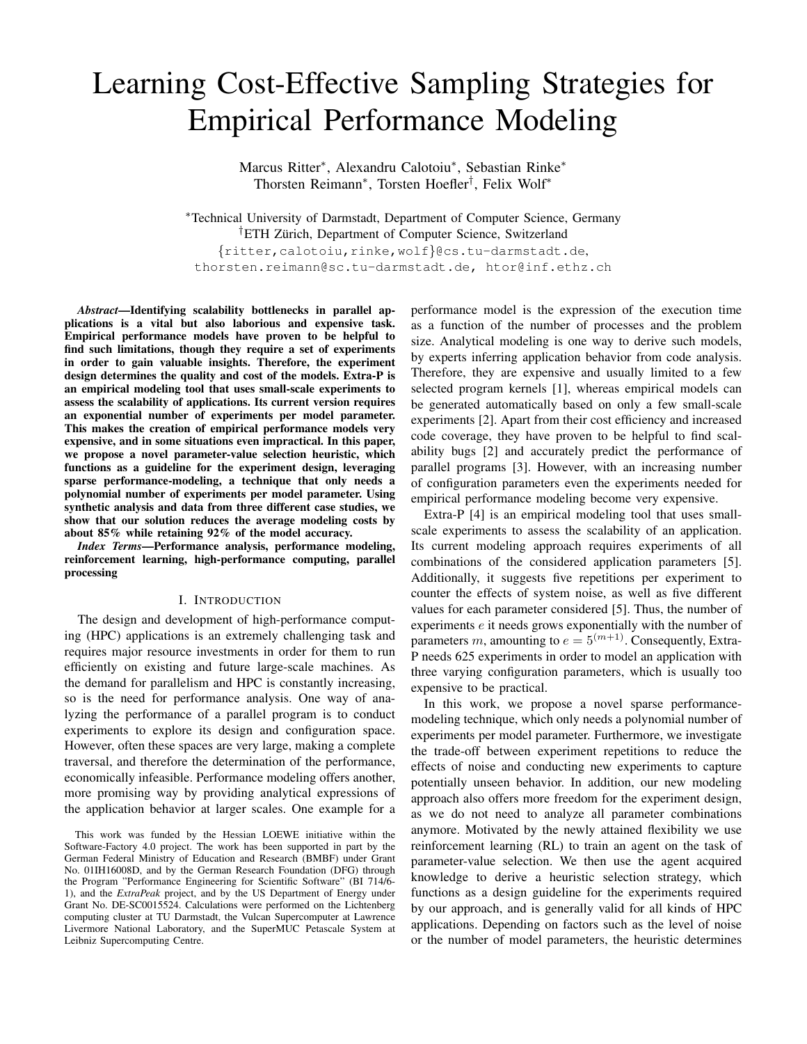# Learning Cost-Effective Sampling Strategies for Empirical Performance Modeling

Marcus Ritter<sup>\*</sup>, Alexandru Calotoiu<sup>\*</sup>, Sebastian Rinke<sup>\*</sup> Thorsten Reimann<sup>∗</sup> , Torsten Hoefler† , Felix Wolf<sup>∗</sup>

<sup>∗</sup>Technical University of Darmstadt, Department of Computer Science, Germany <sup>†</sup>ETH Zürich, Department of Computer Science, Switzerland {ritter,calotoiu,rinke,wolf}@cs.tu-darmstadt.de, thorsten.reimann@sc.tu-darmstadt.de, htor@inf.ethz.ch

*Abstract*—Identifying scalability bottlenecks in parallel applications is a vital but also laborious and expensive task. Empirical performance models have proven to be helpful to find such limitations, though they require a set of experiments in order to gain valuable insights. Therefore, the experiment design determines the quality and cost of the models. Extra-P is an empirical modeling tool that uses small-scale experiments to assess the scalability of applications. Its current version requires an exponential number of experiments per model parameter. This makes the creation of empirical performance models very expensive, and in some situations even impractical. In this paper, we propose a novel parameter-value selection heuristic, which functions as a guideline for the experiment design, leveraging sparse performance-modeling, a technique that only needs a polynomial number of experiments per model parameter. Using synthetic analysis and data from three different case studies, we show that our solution reduces the average modeling costs by about 85% while retaining 92% of the model accuracy.

*Index Terms*—Performance analysis, performance modeling, reinforcement learning, high-performance computing, parallel processing

### I. INTRODUCTION

The design and development of high-performance computing (HPC) applications is an extremely challenging task and requires major resource investments in order for them to run efficiently on existing and future large-scale machines. As the demand for parallelism and HPC is constantly increasing, so is the need for performance analysis. One way of analyzing the performance of a parallel program is to conduct experiments to explore its design and configuration space. However, often these spaces are very large, making a complete traversal, and therefore the determination of the performance, economically infeasible. Performance modeling offers another, more promising way by providing analytical expressions of the application behavior at larger scales. One example for a

performance model is the expression of the execution time as a function of the number of processes and the problem size. Analytical modeling is one way to derive such models, by experts inferring application behavior from code analysis. Therefore, they are expensive and usually limited to a few selected program kernels [\[1\]](#page-10-0), whereas empirical models can be generated automatically based on only a few small-scale experiments [\[2\]](#page-11-0). Apart from their cost efficiency and increased code coverage, they have proven to be helpful to find scalability bugs [\[2\]](#page-11-0) and accurately predict the performance of parallel programs [\[3\]](#page-11-1). However, with an increasing number of configuration parameters even the experiments needed for empirical performance modeling become very expensive.

Extra-P [\[4\]](#page-11-2) is an empirical modeling tool that uses smallscale experiments to assess the scalability of an application. Its current modeling approach requires experiments of all combinations of the considered application parameters [\[5\]](#page-11-3). Additionally, it suggests five repetitions per experiment to counter the effects of system noise, as well as five different values for each parameter considered [\[5\]](#page-11-3). Thus, the number of experiments e it needs grows exponentially with the number of parameters m, amounting to  $e = 5^{(m+1)}$ . Consequently, Extra-P needs 625 experiments in order to model an application with three varying configuration parameters, which is usually too expensive to be practical.

In this work, we propose a novel sparse performancemodeling technique, which only needs a polynomial number of experiments per model parameter. Furthermore, we investigate the trade-off between experiment repetitions to reduce the effects of noise and conducting new experiments to capture potentially unseen behavior. In addition, our new modeling approach also offers more freedom for the experiment design, as we do not need to analyze all parameter combinations anymore. Motivated by the newly attained flexibility we use reinforcement learning (RL) to train an agent on the task of parameter-value selection. We then use the agent acquired knowledge to derive a heuristic selection strategy, which functions as a design guideline for the experiments required by our approach, and is generally valid for all kinds of HPC applications. Depending on factors such as the level of noise or the number of model parameters, the heuristic determines

This work was funded by the Hessian LOEWE initiative within the Software-Factory 4.0 project. The work has been supported in part by the German Federal Ministry of Education and Research (BMBF) under Grant No. 01IH16008D, and by the German Research Foundation (DFG) through the Program "Performance Engineering for Scientific Software" (BI 714/6- 1), and the *ExtraPeak* project, and by the US Department of Energy under Grant No. DE-SC0015524. Calculations were performed on the Lichtenberg computing cluster at TU Darmstadt, the Vulcan Supercomputer at Lawrence Livermore National Laboratory, and the SuperMUC Petascale System at Leibniz Supercomputing Centre.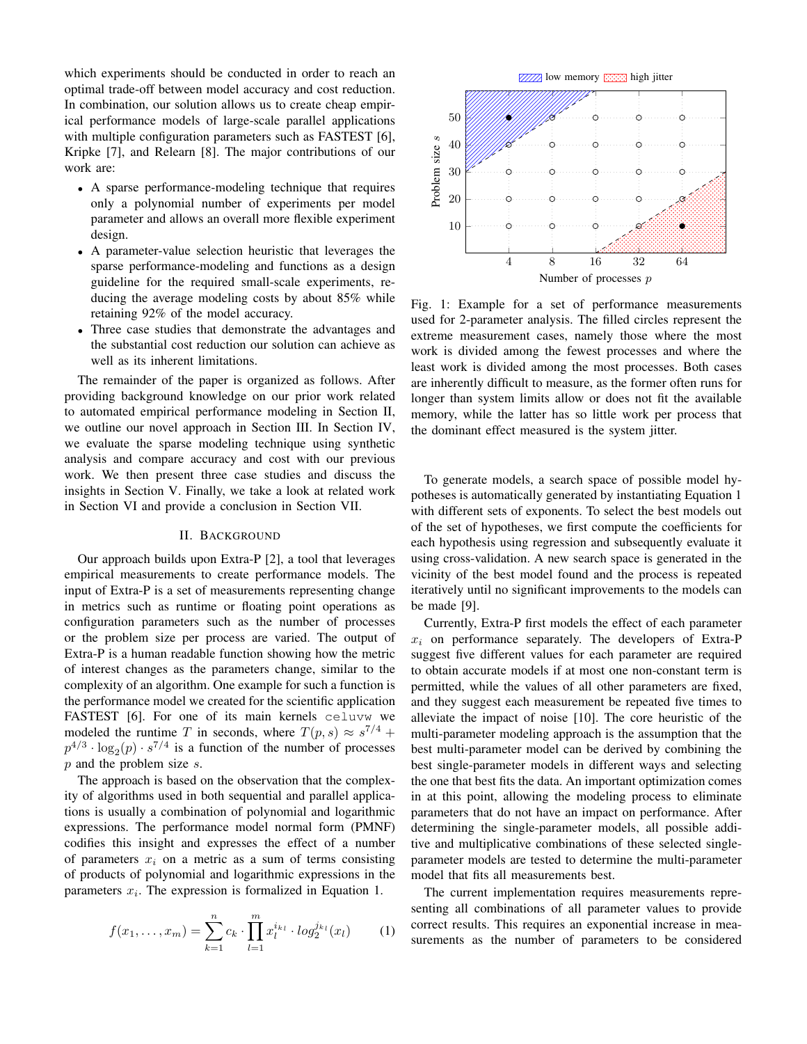which experiments should be conducted in order to reach an optimal trade-off between model accuracy and cost reduction. In combination, our solution allows us to create cheap empirical performance models of large-scale parallel applications with multiple configuration parameters such as FASTEST [\[6\]](#page-11-4), Kripke [\[7\]](#page-11-5), and Relearn [\[8\]](#page-11-6). The major contributions of our work are:

- A sparse performance-modeling technique that requires only a polynomial number of experiments per model parameter and allows an overall more flexible experiment design.
- A parameter-value selection heuristic that leverages the sparse performance-modeling and functions as a design guideline for the required small-scale experiments, reducing the average modeling costs by about 85% while retaining 92% of the model accuracy.
- Three case studies that demonstrate the advantages and the substantial cost reduction our solution can achieve as well as its inherent limitations.

The remainder of the paper is organized as follows. After providing background knowledge on our prior work related to automated empirical performance modeling in Section [II,](#page-1-0) we outline our novel approach in Section [III.](#page-2-0) In Section [IV,](#page-5-0) we evaluate the sparse modeling technique using synthetic analysis and compare accuracy and cost with our previous work. We then present three case studies and discuss the insights in Section [V.](#page-8-0) Finally, we take a look at related work in Section [VI](#page-10-1) and provide a conclusion in Section [VII.](#page-10-2)

## II. BACKGROUND

<span id="page-1-0"></span>Our approach builds upon Extra-P [\[2\]](#page-11-0), a tool that leverages empirical measurements to create performance models. The input of Extra-P is a set of measurements representing change in metrics such as runtime or floating point operations as configuration parameters such as the number of processes or the problem size per process are varied. The output of Extra-P is a human readable function showing how the metric of interest changes as the parameters change, similar to the complexity of an algorithm. One example for such a function is the performance model we created for the scientific application FASTEST [\[6\]](#page-11-4). For one of its main kernels celuvw we modeled the runtime T in seconds, where  $T(p, s) \approx s^{7/4} +$  $p^{4/3} \cdot \log_2(p) \cdot s^{7/4}$  is a function of the number of processes p and the problem size s.

The approach is based on the observation that the complexity of algorithms used in both sequential and parallel applications is usually a combination of polynomial and logarithmic expressions. The performance model normal form (PMNF) codifies this insight and expresses the effect of a number of parameters  $x_i$  on a metric as a sum of terms consisting of products of polynomial and logarithmic expressions in the parameters  $x_i$ . The expression is formalized in Equation [1.](#page-1-1)

<span id="page-1-1"></span>
$$
f(x_1,...,x_m) = \sum_{k=1}^n c_k \cdot \prod_{l=1}^m x_l^{i_{k_l}} \cdot \log_2^{j_{k_l}}(x_l)
$$
 (1)

<span id="page-1-2"></span>

Fig. 1: Example for a set of performance measurements used for 2-parameter analysis. The filled circles represent the extreme measurement cases, namely those where the most work is divided among the fewest processes and where the least work is divided among the most processes. Both cases are inherently difficult to measure, as the former often runs for longer than system limits allow or does not fit the available memory, while the latter has so little work per process that the dominant effect measured is the system jitter.

To generate models, a search space of possible model hypotheses is automatically generated by instantiating Equation [1](#page-1-1) with different sets of exponents. To select the best models out of the set of hypotheses, we first compute the coefficients for each hypothesis using regression and subsequently evaluate it using cross-validation. A new search space is generated in the vicinity of the best model found and the process is repeated iteratively until no significant improvements to the models can be made [\[9\]](#page-11-7).

Currently, Extra-P first models the effect of each parameter  $x_i$  on performance separately. The developers of Extra-P suggest five different values for each parameter are required to obtain accurate models if at most one non-constant term is permitted, while the values of all other parameters are fixed, and they suggest each measurement be repeated five times to alleviate the impact of noise [\[10\]](#page-11-8). The core heuristic of the multi-parameter modeling approach is the assumption that the best multi-parameter model can be derived by combining the best single-parameter models in different ways and selecting the one that best fits the data. An important optimization comes in at this point, allowing the modeling process to eliminate parameters that do not have an impact on performance. After determining the single-parameter models, all possible additive and multiplicative combinations of these selected singleparameter models are tested to determine the multi-parameter model that fits all measurements best.

The current implementation requires measurements representing all combinations of all parameter values to provide correct results. This requires an exponential increase in measurements as the number of parameters to be considered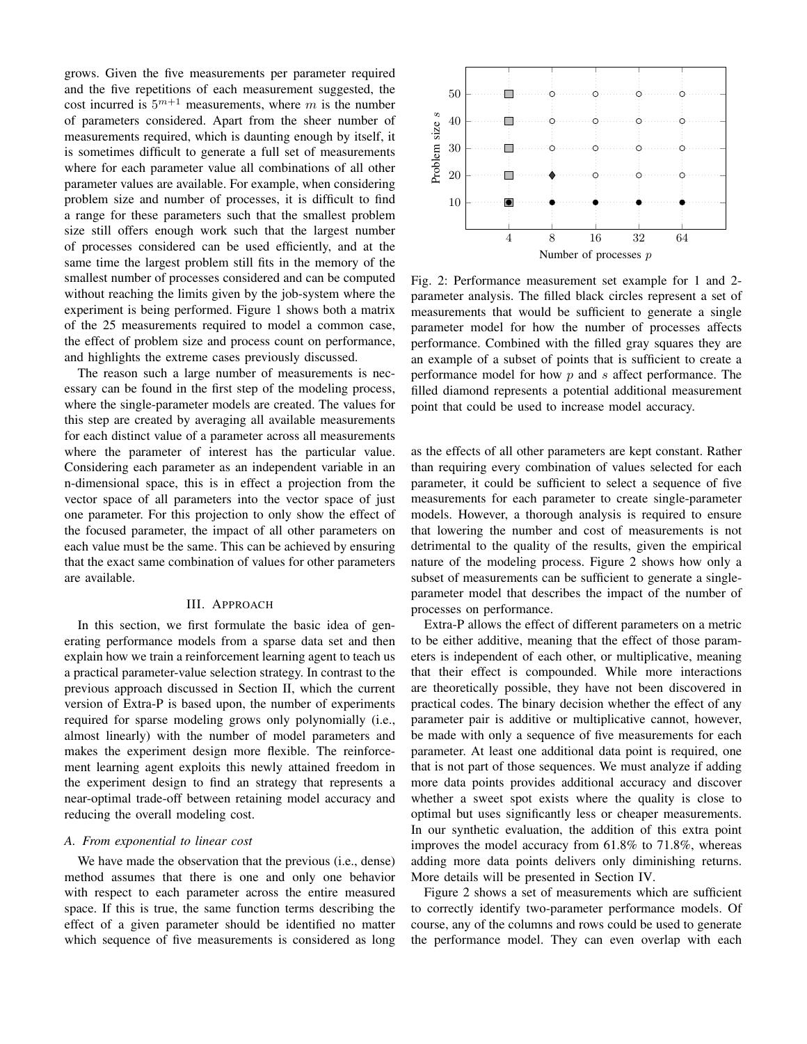grows. Given the five measurements per parameter required and the five repetitions of each measurement suggested, the cost incurred is  $5^{m+1}$  measurements, where m is the number of parameters considered. Apart from the sheer number of measurements required, which is daunting enough by itself, it is sometimes difficult to generate a full set of measurements where for each parameter value all combinations of all other parameter values are available. For example, when considering problem size and number of processes, it is difficult to find a range for these parameters such that the smallest problem size still offers enough work such that the largest number of processes considered can be used efficiently, and at the same time the largest problem still fits in the memory of the smallest number of processes considered and can be computed without reaching the limits given by the job-system where the experiment is being performed. Figure [1](#page-1-2) shows both a matrix of the 25 measurements required to model a common case, the effect of problem size and process count on performance, and highlights the extreme cases previously discussed.

The reason such a large number of measurements is necessary can be found in the first step of the modeling process, where the single-parameter models are created. The values for this step are created by averaging all available measurements for each distinct value of a parameter across all measurements where the parameter of interest has the particular value. Considering each parameter as an independent variable in an n-dimensional space, this is in effect a projection from the vector space of all parameters into the vector space of just one parameter. For this projection to only show the effect of the focused parameter, the impact of all other parameters on each value must be the same. This can be achieved by ensuring that the exact same combination of values for other parameters are available.

## III. APPROACH

<span id="page-2-0"></span>In this section, we first formulate the basic idea of generating performance models from a sparse data set and then explain how we train a reinforcement learning agent to teach us a practical parameter-value selection strategy. In contrast to the previous approach discussed in Section [II,](#page-1-0) which the current version of Extra-P is based upon, the number of experiments required for sparse modeling grows only polynomially (i.e., almost linearly) with the number of model parameters and makes the experiment design more flexible. The reinforcement learning agent exploits this newly attained freedom in the experiment design to find an strategy that represents a near-optimal trade-off between retaining model accuracy and reducing the overall modeling cost.

### *A. From exponential to linear cost*

We have made the observation that the previous (i.e., dense) method assumes that there is one and only one behavior with respect to each parameter across the entire measured space. If this is true, the same function terms describing the effect of a given parameter should be identified no matter which sequence of five measurements is considered as long

<span id="page-2-1"></span>

Fig. 2: Performance measurement set example for 1 and 2 parameter analysis. The filled black circles represent a set of measurements that would be sufficient to generate a single parameter model for how the number of processes affects performance. Combined with the filled gray squares they are an example of a subset of points that is sufficient to create a performance model for how  $p$  and  $s$  affect performance. The filled diamond represents a potential additional measurement point that could be used to increase model accuracy.

as the effects of all other parameters are kept constant. Rather than requiring every combination of values selected for each parameter, it could be sufficient to select a sequence of five measurements for each parameter to create single-parameter models. However, a thorough analysis is required to ensure that lowering the number and cost of measurements is not detrimental to the quality of the results, given the empirical nature of the modeling process. Figure [2](#page-2-1) shows how only a subset of measurements can be sufficient to generate a singleparameter model that describes the impact of the number of processes on performance.

Extra-P allows the effect of different parameters on a metric to be either additive, meaning that the effect of those parameters is independent of each other, or multiplicative, meaning that their effect is compounded. While more interactions are theoretically possible, they have not been discovered in practical codes. The binary decision whether the effect of any parameter pair is additive or multiplicative cannot, however, be made with only a sequence of five measurements for each parameter. At least one additional data point is required, one that is not part of those sequences. We must analyze if adding more data points provides additional accuracy and discover whether a sweet spot exists where the quality is close to optimal but uses significantly less or cheaper measurements. In our synthetic evaluation, the addition of this extra point improves the model accuracy from 61.8% to 71.8%, whereas adding more data points delivers only diminishing returns. More details will be presented in Section [IV.](#page-5-0)

Figure [2](#page-2-1) shows a set of measurements which are sufficient to correctly identify two-parameter performance models. Of course, any of the columns and rows could be used to generate the performance model. They can even overlap with each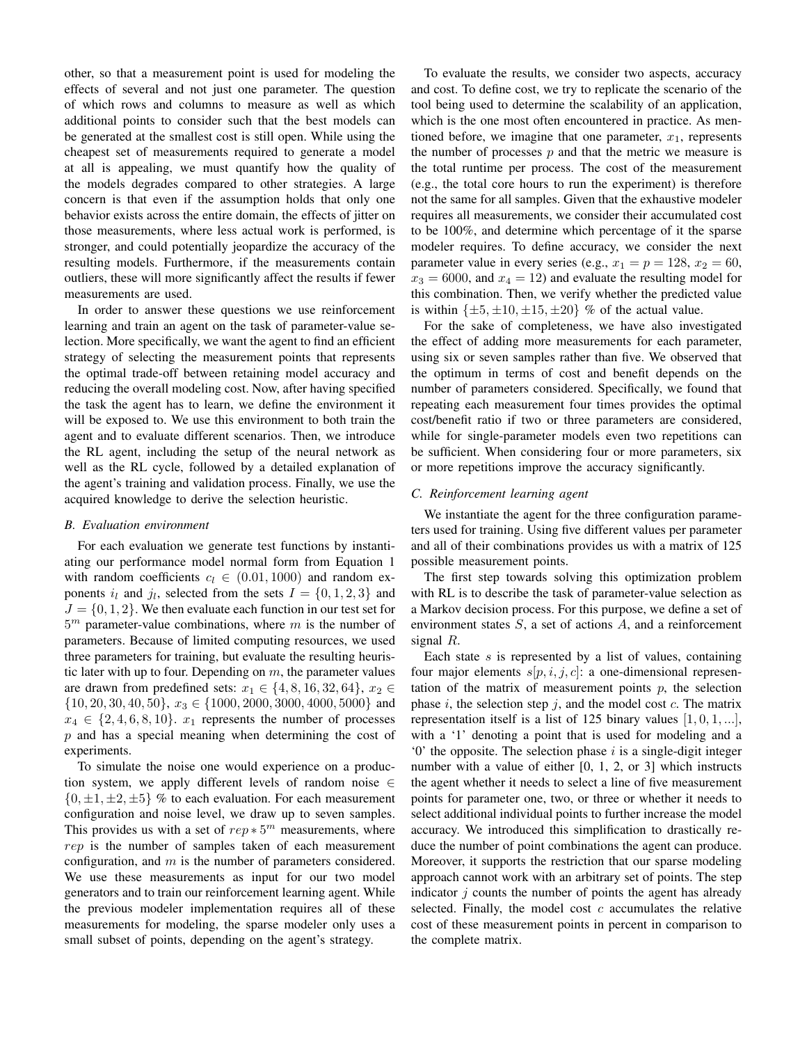other, so that a measurement point is used for modeling the effects of several and not just one parameter. The question of which rows and columns to measure as well as which additional points to consider such that the best models can be generated at the smallest cost is still open. While using the cheapest set of measurements required to generate a model at all is appealing, we must quantify how the quality of the models degrades compared to other strategies. A large concern is that even if the assumption holds that only one behavior exists across the entire domain, the effects of jitter on those measurements, where less actual work is performed, is stronger, and could potentially jeopardize the accuracy of the resulting models. Furthermore, if the measurements contain outliers, these will more significantly affect the results if fewer measurements are used.

In order to answer these questions we use reinforcement learning and train an agent on the task of parameter-value selection. More specifically, we want the agent to find an efficient strategy of selecting the measurement points that represents the optimal trade-off between retaining model accuracy and reducing the overall modeling cost. Now, after having specified the task the agent has to learn, we define the environment it will be exposed to. We use this environment to both train the agent and to evaluate different scenarios. Then, we introduce the RL agent, including the setup of the neural network as well as the RL cycle, followed by a detailed explanation of the agent's training and validation process. Finally, we use the acquired knowledge to derive the selection heuristic.

## <span id="page-3-0"></span>*B. Evaluation environment*

For each evaluation we generate test functions by instantiating our performance model normal form from Equation [1](#page-1-1) with random coefficients  $c_l \in (0.01, 1000)$  and random exponents  $i_l$  and  $j_l$ , selected from the sets  $I = \{0, 1, 2, 3\}$  and  $J = \{0, 1, 2\}$ . We then evaluate each function in our test set for  $5<sup>m</sup>$  parameter-value combinations, where m is the number of parameters. Because of limited computing resources, we used three parameters for training, but evaluate the resulting heuristic later with up to four. Depending on  $m$ , the parameter values are drawn from predefined sets:  $x_1 \in \{4, 8, 16, 32, 64\}, x_2 \in$  $\{10, 20, 30, 40, 50\}, x_3 \in \{1000, 2000, 3000, 4000, 5000\}$  and  $x_4 \in \{2, 4, 6, 8, 10\}$ .  $x_1$  represents the number of processes  $p$  and has a special meaning when determining the cost of experiments.

To simulate the noise one would experience on a production system, we apply different levels of random noise ∈  $\{0, \pm 1, \pm 2, \pm 5\}$  % to each evaluation. For each measurement configuration and noise level, we draw up to seven samples. This provides us with a set of  $rep * 5^m$  measurements, where rep is the number of samples taken of each measurement configuration, and  $m$  is the number of parameters considered. We use these measurements as input for our two model generators and to train our reinforcement learning agent. While the previous modeler implementation requires all of these measurements for modeling, the sparse modeler only uses a small subset of points, depending on the agent's strategy.

To evaluate the results, we consider two aspects, accuracy and cost. To define cost, we try to replicate the scenario of the tool being used to determine the scalability of an application, which is the one most often encountered in practice. As mentioned before, we imagine that one parameter,  $x_1$ , represents the number of processes  $p$  and that the metric we measure is the total runtime per process. The cost of the measurement (e.g., the total core hours to run the experiment) is therefore not the same for all samples. Given that the exhaustive modeler requires all measurements, we consider their accumulated cost to be 100%, and determine which percentage of it the sparse modeler requires. To define accuracy, we consider the next parameter value in every series (e.g.,  $x_1 = p = 128$ ,  $x_2 = 60$ ,  $x_3 = 6000$ , and  $x_4 = 12$ ) and evaluate the resulting model for this combination. Then, we verify whether the predicted value is within  $\{\pm 5, \pm 10, \pm 15, \pm 20\}$  % of the actual value.

For the sake of completeness, we have also investigated the effect of adding more measurements for each parameter, using six or seven samples rather than five. We observed that the optimum in terms of cost and benefit depends on the number of parameters considered. Specifically, we found that repeating each measurement four times provides the optimal cost/benefit ratio if two or three parameters are considered, while for single-parameter models even two repetitions can be sufficient. When considering four or more parameters, six or more repetitions improve the accuracy significantly.

# *C. Reinforcement learning agent*

We instantiate the agent for the three configuration parameters used for training. Using five different values per parameter and all of their combinations provides us with a matrix of 125 possible measurement points.

The first step towards solving this optimization problem with RL is to describe the task of parameter-value selection as a Markov decision process. For this purpose, we define a set of environment states S, a set of actions A, and a reinforcement signal R.

Each state  $s$  is represented by a list of values, containing four major elements  $s[p, i, j, c]$ : a one-dimensional representation of the matrix of measurement points  $p$ , the selection phase  $i$ , the selection step  $j$ , and the model cost  $c$ . The matrix representation itself is a list of 125 binary values  $[1, 0, 1, \ldots]$ , with a '1' denoting a point that is used for modeling and a  $\ddot{o}$  the opposite. The selection phase i is a single-digit integer number with a value of either [0, 1, 2, or 3] which instructs the agent whether it needs to select a line of five measurement points for parameter one, two, or three or whether it needs to select additional individual points to further increase the model accuracy. We introduced this simplification to drastically reduce the number of point combinations the agent can produce. Moreover, it supports the restriction that our sparse modeling approach cannot work with an arbitrary set of points. The step indicator  $j$  counts the number of points the agent has already selected. Finally, the model cost  $c$  accumulates the relative cost of these measurement points in percent in comparison to the complete matrix.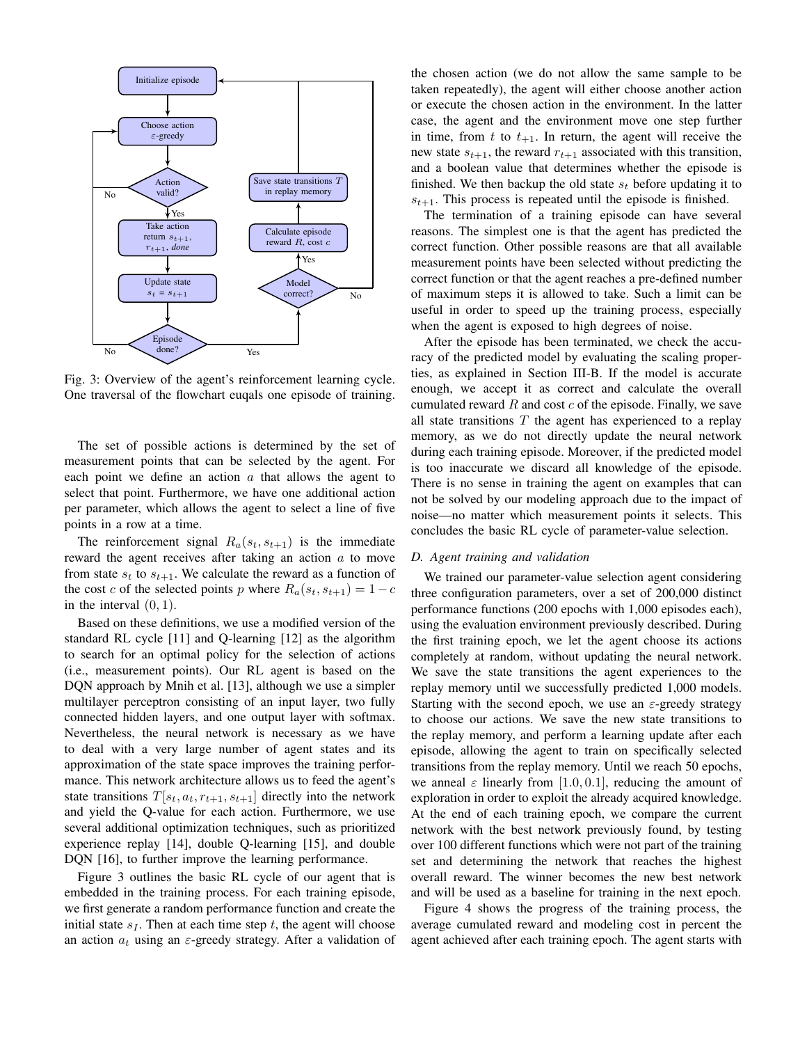<span id="page-4-0"></span>

Fig. 3: Overview of the agent's reinforcement learning cycle. One traversal of the flowchart euqals one episode of training.

The set of possible actions is determined by the set of measurement points that can be selected by the agent. For each point we define an action  $a$  that allows the agent to select that point. Furthermore, we have one additional action per parameter, which allows the agent to select a line of five points in a row at a time.

The reinforcement signal  $R_a(s_t, s_{t+1})$  is the immediate reward the agent receives after taking an action a to move from state  $s_t$  to  $s_{t+1}$ . We calculate the reward as a function of the cost c of the selected points p where  $R_a(s_t, s_{t+1}) = 1 - c$ in the interval  $(0, 1)$ .

Based on these definitions, we use a modified version of the standard RL cycle [\[11\]](#page-11-9) and Q-learning [\[12\]](#page-11-10) as the algorithm to search for an optimal policy for the selection of actions (i.e., measurement points). Our RL agent is based on the DQN approach by Mnih et al. [\[13\]](#page-11-11), although we use a simpler multilayer perceptron consisting of an input layer, two fully connected hidden layers, and one output layer with softmax. Nevertheless, the neural network is necessary as we have to deal with a very large number of agent states and its approximation of the state space improves the training performance. This network architecture allows us to feed the agent's state transitions  $T[s_t, a_t, r_{t+1}, s_{t+1}]$  directly into the network and yield the Q-value for each action. Furthermore, we use several additional optimization techniques, such as prioritized experience replay [\[14\]](#page-11-12), double Q-learning [\[15\]](#page-11-13), and double DQN [\[16\]](#page-11-14), to further improve the learning performance.

Figure [3](#page-4-0) outlines the basic RL cycle of our agent that is embedded in the training process. For each training episode, we first generate a random performance function and create the initial state  $s_I$ . Then at each time step t, the agent will choose an action  $a_t$  using an  $\varepsilon$ -greedy strategy. After a validation of the chosen action (we do not allow the same sample to be taken repeatedly), the agent will either choose another action or execute the chosen action in the environment. In the latter case, the agent and the environment move one step further in time, from t to  $t_{+1}$ . In return, the agent will receive the new state  $s_{t+1}$ , the reward  $r_{t+1}$  associated with this transition, and a boolean value that determines whether the episode is finished. We then backup the old state  $s_t$  before updating it to  $s_{t+1}$ . This process is repeated until the episode is finished.

The termination of a training episode can have several reasons. The simplest one is that the agent has predicted the correct function. Other possible reasons are that all available measurement points have been selected without predicting the correct function or that the agent reaches a pre-defined number of maximum steps it is allowed to take. Such a limit can be useful in order to speed up the training process, especially when the agent is exposed to high degrees of noise.

After the episode has been terminated, we check the accuracy of the predicted model by evaluating the scaling properties, as explained in Section [III-B.](#page-3-0) If the model is accurate enough, we accept it as correct and calculate the overall cumulated reward  $R$  and cost  $c$  of the episode. Finally, we save all state transitions  $T$  the agent has experienced to a replay memory, as we do not directly update the neural network during each training episode. Moreover, if the predicted model is too inaccurate we discard all knowledge of the episode. There is no sense in training the agent on examples that can not be solved by our modeling approach due to the impact of noise—no matter which measurement points it selects. This concludes the basic RL cycle of parameter-value selection.

# *D. Agent training and validation*

We trained our parameter-value selection agent considering three configuration parameters, over a set of 200,000 distinct performance functions (200 epochs with 1,000 episodes each), using the evaluation environment previously described. During the first training epoch, we let the agent choose its actions completely at random, without updating the neural network. We save the state transitions the agent experiences to the replay memory until we successfully predicted 1,000 models. Starting with the second epoch, we use an  $\varepsilon$ -greedy strategy to choose our actions. We save the new state transitions to the replay memory, and perform a learning update after each episode, allowing the agent to train on specifically selected transitions from the replay memory. Until we reach 50 epochs, we anneal  $\varepsilon$  linearly from [1.0, 0.1], reducing the amount of exploration in order to exploit the already acquired knowledge. At the end of each training epoch, we compare the current network with the best network previously found, by testing over 100 different functions which were not part of the training set and determining the network that reaches the highest overall reward. The winner becomes the new best network and will be used as a baseline for training in the next epoch.

Figure [4](#page-5-1) shows the progress of the training process, the average cumulated reward and modeling cost in percent the agent achieved after each training epoch. The agent starts with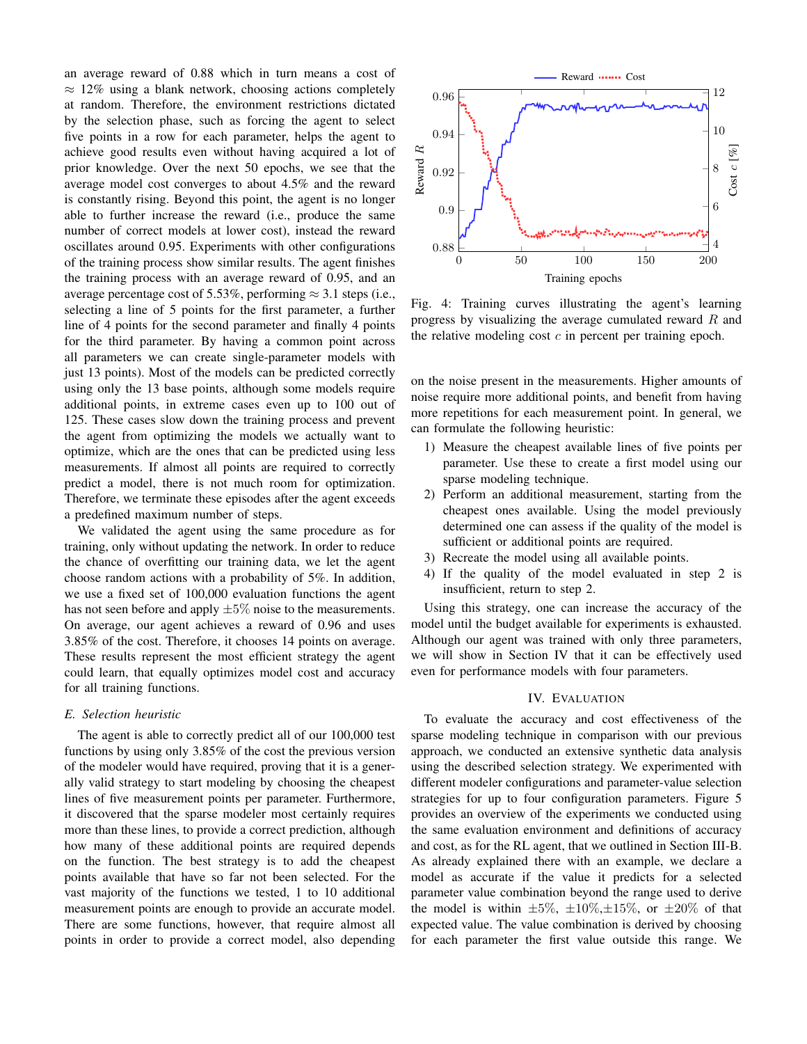an average reward of 0.88 which in turn means a cost of  $\approx 12\%$  using a blank network, choosing actions completely at random. Therefore, the environment restrictions dictated by the selection phase, such as forcing the agent to select five points in a row for each parameter, helps the agent to achieve good results even without having acquired a lot of prior knowledge. Over the next 50 epochs, we see that the average model cost converges to about 4.5% and the reward is constantly rising. Beyond this point, the agent is no longer able to further increase the reward (i.e., produce the same number of correct models at lower cost), instead the reward oscillates around 0.95. Experiments with other configurations of the training process show similar results. The agent finishes the training process with an average reward of 0.95, and an average percentage cost of 5.53%, performing  $\approx$  3.1 steps (i.e., selecting a line of 5 points for the first parameter, a further line of 4 points for the second parameter and finally 4 points for the third parameter. By having a common point across all parameters we can create single-parameter models with just 13 points). Most of the models can be predicted correctly using only the 13 base points, although some models require additional points, in extreme cases even up to 100 out of 125. These cases slow down the training process and prevent the agent from optimizing the models we actually want to optimize, which are the ones that can be predicted using less measurements. If almost all points are required to correctly predict a model, there is not much room for optimization. Therefore, we terminate these episodes after the agent exceeds a predefined maximum number of steps.

We validated the agent using the same procedure as for training, only without updating the network. In order to reduce the chance of overfitting our training data, we let the agent choose random actions with a probability of 5%. In addition, we use a fixed set of 100,000 evaluation functions the agent has not seen before and apply  $\pm 5\%$  noise to the measurements. On average, our agent achieves a reward of 0.96 and uses 3.85% of the cost. Therefore, it chooses 14 points on average. These results represent the most efficient strategy the agent could learn, that equally optimizes model cost and accuracy for all training functions.

### *E. Selection heuristic*

The agent is able to correctly predict all of our 100,000 test functions by using only 3.85% of the cost the previous version of the modeler would have required, proving that it is a generally valid strategy to start modeling by choosing the cheapest lines of five measurement points per parameter. Furthermore, it discovered that the sparse modeler most certainly requires more than these lines, to provide a correct prediction, although how many of these additional points are required depends on the function. The best strategy is to add the cheapest points available that have so far not been selected. For the vast majority of the functions we tested, 1 to 10 additional measurement points are enough to provide an accurate model. There are some functions, however, that require almost all points in order to provide a correct model, also depending

<span id="page-5-1"></span>

Fig. 4: Training curves illustrating the agent's learning progress by visualizing the average cumulated reward R and the relative modeling cost  $c$  in percent per training epoch.

on the noise present in the measurements. Higher amounts of noise require more additional points, and benefit from having more repetitions for each measurement point. In general, we can formulate the following heuristic:

- 1) Measure the cheapest available lines of five points per parameter. Use these to create a first model using our sparse modeling technique.
- 2) Perform an additional measurement, starting from the cheapest ones available. Using the model previously determined one can assess if the quality of the model is sufficient or additional points are required.
- 3) Recreate the model using all available points.
- 4) If the quality of the model evaluated in step 2 is insufficient, return to step 2.

Using this strategy, one can increase the accuracy of the model until the budget available for experiments is exhausted. Although our agent was trained with only three parameters, we will show in Section [IV](#page-5-0) that it can be effectively used even for performance models with four parameters.

# IV. EVALUATION

<span id="page-5-0"></span>To evaluate the accuracy and cost effectiveness of the sparse modeling technique in comparison with our previous approach, we conducted an extensive synthetic data analysis using the described selection strategy. We experimented with different modeler configurations and parameter-value selection strategies for up to four configuration parameters. Figure [5](#page-6-0) provides an overview of the experiments we conducted using the same evaluation environment and definitions of accuracy and cost, as for the RL agent, that we outlined in Section [III-B.](#page-3-0) As already explained there with an example, we declare a model as accurate if the value it predicts for a selected parameter value combination beyond the range used to derive the model is within  $\pm 5\%, \pm 10\%, \pm 15\%,$  or  $\pm 20\%$  of that expected value. The value combination is derived by choosing for each parameter the first value outside this range. We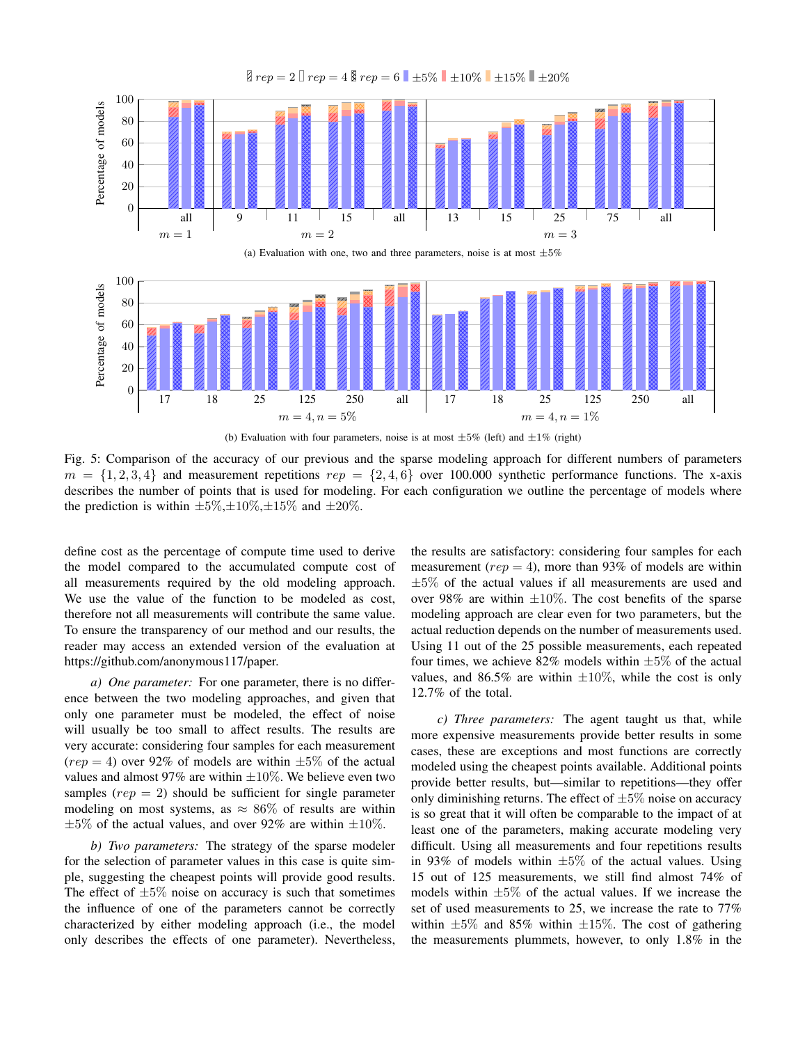<span id="page-6-1"></span><span id="page-6-0"></span>

Fig. 5: Comparison of the accuracy of our previous and the sparse modeling approach for different numbers of parameters  $m = \{1, 2, 3, 4\}$  and measurement repetitions  $rep = \{2, 4, 6\}$  over 100.000 synthetic performance functions. The x-axis describes the number of points that is used for modeling. For each configuration we outline the percentage of models where the prediction is within  $\pm 5\%, \pm 10\%, \pm 15\%$  and  $\pm 20\%$ .

define cost as the percentage of compute time used to derive the model compared to the accumulated compute cost of all measurements required by the old modeling approach. We use the value of the function to be modeled as cost, therefore not all measurements will contribute the same value. To ensure the transparency of our method and our results, the reader may access an extended version of the evaluation at https://github.com/anonymous117/paper.

*a) One parameter:* For one parameter, there is no difference between the two modeling approaches, and given that only one parameter must be modeled, the effect of noise will usually be too small to affect results. The results are very accurate: considering four samples for each measurement  $(rep = 4)$  over 92% of models are within  $\pm 5\%$  of the actual values and almost 97% are within  $\pm 10\%$ . We believe even two samples ( $rep = 2$ ) should be sufficient for single parameter modeling on most systems, as  $\approx 86\%$  of results are within  $\pm 5\%$  of the actual values, and over 92% are within  $\pm 10\%$ .

*b) Two parameters:* The strategy of the sparse modeler for the selection of parameter values in this case is quite simple, suggesting the cheapest points will provide good results. The effect of  $\pm 5\%$  noise on accuracy is such that sometimes the influence of one of the parameters cannot be correctly characterized by either modeling approach (i.e., the model only describes the effects of one parameter). Nevertheless, the results are satisfactory: considering four samples for each measurement ( $rep = 4$ ), more than 93% of models are within  $\pm 5\%$  of the actual values if all measurements are used and over 98% are within  $\pm 10\%$ . The cost benefits of the sparse modeling approach are clear even for two parameters, but the actual reduction depends on the number of measurements used. Using 11 out of the 25 possible measurements, each repeated four times, we achieve 82% models within  $\pm 5\%$  of the actual values, and 86.5% are within  $\pm 10\%$ , while the cost is only 12.7% of the total.

*c) Three parameters:* The agent taught us that, while more expensive measurements provide better results in some cases, these are exceptions and most functions are correctly modeled using the cheapest points available. Additional points provide better results, but—similar to repetitions—they offer only diminishing returns. The effect of  $\pm 5\%$  noise on accuracy is so great that it will often be comparable to the impact of at least one of the parameters, making accurate modeling very difficult. Using all measurements and four repetitions results in 93% of models within  $\pm 5\%$  of the actual values. Using 15 out of 125 measurements, we still find almost 74% of models within  $\pm 5\%$  of the actual values. If we increase the set of used measurements to 25, we increase the rate to 77% within  $\pm 5\%$  and 85% within  $\pm 15\%$ . The cost of gathering the measurements plummets, however, to only 1.8% in the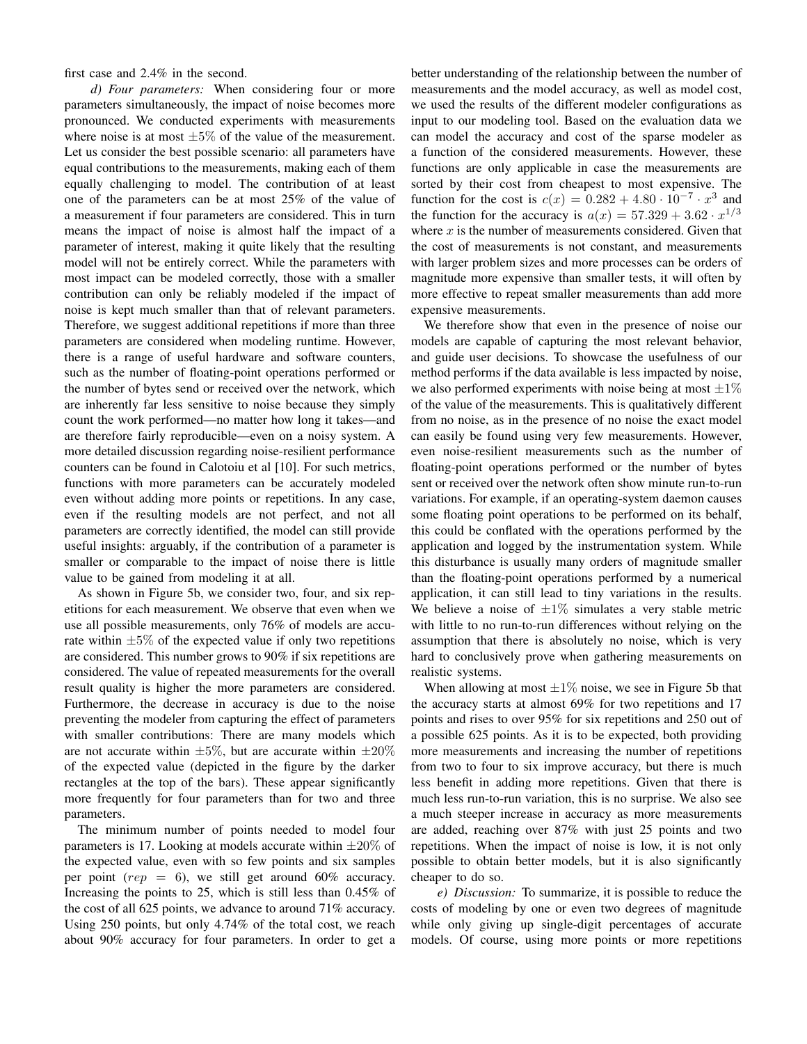first case and 2.4% in the second.

*d) Four parameters:* When considering four or more parameters simultaneously, the impact of noise becomes more pronounced. We conducted experiments with measurements where noise is at most  $\pm 5\%$  of the value of the measurement. Let us consider the best possible scenario: all parameters have equal contributions to the measurements, making each of them equally challenging to model. The contribution of at least one of the parameters can be at most 25% of the value of a measurement if four parameters are considered. This in turn means the impact of noise is almost half the impact of a parameter of interest, making it quite likely that the resulting model will not be entirely correct. While the parameters with most impact can be modeled correctly, those with a smaller contribution can only be reliably modeled if the impact of noise is kept much smaller than that of relevant parameters. Therefore, we suggest additional repetitions if more than three parameters are considered when modeling runtime. However, there is a range of useful hardware and software counters, such as the number of floating-point operations performed or the number of bytes send or received over the network, which are inherently far less sensitive to noise because they simply count the work performed—no matter how long it takes—and are therefore fairly reproducible—even on a noisy system. A more detailed discussion regarding noise-resilient performance counters can be found in Calotoiu et al [\[10\]](#page-11-8). For such metrics, functions with more parameters can be accurately modeled even without adding more points or repetitions. In any case, even if the resulting models are not perfect, and not all parameters are correctly identified, the model can still provide useful insights: arguably, if the contribution of a parameter is smaller or comparable to the impact of noise there is little value to be gained from modeling it at all.

As shown in Figure [5b,](#page-6-1) we consider two, four, and six repetitions for each measurement. We observe that even when we use all possible measurements, only 76% of models are accurate within  $\pm 5\%$  of the expected value if only two repetitions are considered. This number grows to 90% if six repetitions are considered. The value of repeated measurements for the overall result quality is higher the more parameters are considered. Furthermore, the decrease in accuracy is due to the noise preventing the modeler from capturing the effect of parameters with smaller contributions: There are many models which are not accurate within  $\pm 5\%$ , but are accurate within  $\pm 20\%$ of the expected value (depicted in the figure by the darker rectangles at the top of the bars). These appear significantly more frequently for four parameters than for two and three parameters.

The minimum number of points needed to model four parameters is 17. Looking at models accurate within  $\pm 20\%$  of the expected value, even with so few points and six samples per point ( $rep = 6$ ), we still get around 60% accuracy. Increasing the points to 25, which is still less than 0.45% of the cost of all 625 points, we advance to around 71% accuracy. Using 250 points, but only 4.74% of the total cost, we reach about 90% accuracy for four parameters. In order to get a

better understanding of the relationship between the number of measurements and the model accuracy, as well as model cost, we used the results of the different modeler configurations as input to our modeling tool. Based on the evaluation data we can model the accuracy and cost of the sparse modeler as a function of the considered measurements. However, these functions are only applicable in case the measurements are sorted by their cost from cheapest to most expensive. The function for the cost is  $c(x) = 0.282 + 4.80 \cdot 10^{-7} \cdot x^3$  and the function for the accuracy is  $a(x) = 57.329 + 3.62 \cdot x^{1/3}$ where  $x$  is the number of measurements considered. Given that the cost of measurements is not constant, and measurements with larger problem sizes and more processes can be orders of magnitude more expensive than smaller tests, it will often by more effective to repeat smaller measurements than add more expensive measurements.

We therefore show that even in the presence of noise our models are capable of capturing the most relevant behavior, and guide user decisions. To showcase the usefulness of our method performs if the data available is less impacted by noise, we also performed experiments with noise being at most  $\pm 1\%$ of the value of the measurements. This is qualitatively different from no noise, as in the presence of no noise the exact model can easily be found using very few measurements. However, even noise-resilient measurements such as the number of floating-point operations performed or the number of bytes sent or received over the network often show minute run-to-run variations. For example, if an operating-system daemon causes some floating point operations to be performed on its behalf, this could be conflated with the operations performed by the application and logged by the instrumentation system. While this disturbance is usually many orders of magnitude smaller than the floating-point operations performed by a numerical application, it can still lead to tiny variations in the results. We believe a noise of  $\pm 1\%$  simulates a very stable metric with little to no run-to-run differences without relying on the assumption that there is absolutely no noise, which is very hard to conclusively prove when gathering measurements on realistic systems.

When allowing at most  $\pm 1\%$  noise, we see in Figure [5b](#page-6-1) that the accuracy starts at almost 69% for two repetitions and 17 points and rises to over 95% for six repetitions and 250 out of a possible 625 points. As it is to be expected, both providing more measurements and increasing the number of repetitions from two to four to six improve accuracy, but there is much less benefit in adding more repetitions. Given that there is much less run-to-run variation, this is no surprise. We also see a much steeper increase in accuracy as more measurements are added, reaching over 87% with just 25 points and two repetitions. When the impact of noise is low, it is not only possible to obtain better models, but it is also significantly cheaper to do so.

*e) Discussion:* To summarize, it is possible to reduce the costs of modeling by one or even two degrees of magnitude while only giving up single-digit percentages of accurate models. Of course, using more points or more repetitions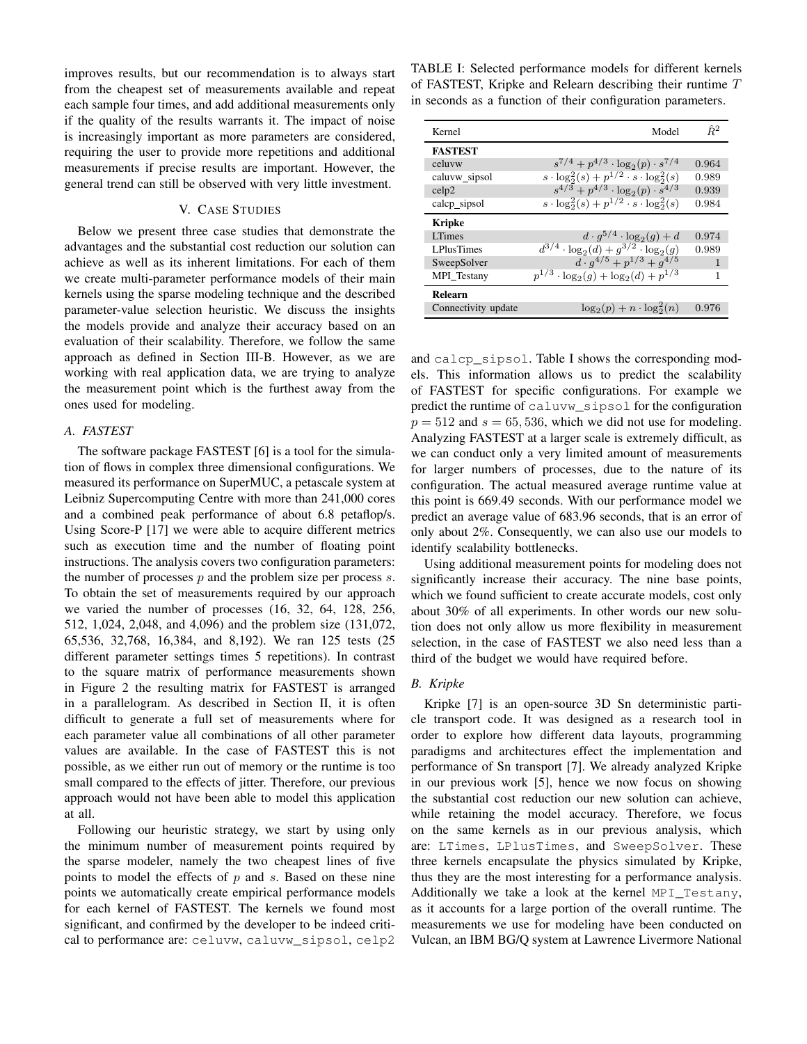improves results, but our recommendation is to always start from the cheapest set of measurements available and repeat each sample four times, and add additional measurements only if the quality of the results warrants it. The impact of noise is increasingly important as more parameters are considered, requiring the user to provide more repetitions and additional measurements if precise results are important. However, the general trend can still be observed with very little investment.

# V. CASE STUDIES

<span id="page-8-0"></span>Below we present three case studies that demonstrate the advantages and the substantial cost reduction our solution can achieve as well as its inherent limitations. For each of them we create multi-parameter performance models of their main kernels using the sparse modeling technique and the described parameter-value selection heuristic. We discuss the insights the models provide and analyze their accuracy based on an evaluation of their scalability. Therefore, we follow the same approach as defined in Section [III-B.](#page-3-0) However, as we are working with real application data, we are trying to analyze the measurement point which is the furthest away from the ones used for modeling.

#### *A. FASTEST*

The software package FASTEST [\[6\]](#page-11-4) is a tool for the simulation of flows in complex three dimensional configurations. We measured its performance on SuperMUC, a petascale system at Leibniz Supercomputing Centre with more than 241,000 cores and a combined peak performance of about 6.8 petaflop/s. Using Score-P [\[17\]](#page-11-15) we were able to acquire different metrics such as execution time and the number of floating point instructions. The analysis covers two configuration parameters: the number of processes  $p$  and the problem size per process  $s$ . To obtain the set of measurements required by our approach we varied the number of processes (16, 32, 64, 128, 256, 512, 1,024, 2,048, and 4,096) and the problem size (131,072, 65,536, 32,768, 16,384, and 8,192). We ran 125 tests (25 different parameter settings times 5 repetitions). In contrast to the square matrix of performance measurements shown in Figure [2](#page-2-1) the resulting matrix for FASTEST is arranged in a parallelogram. As described in Section [II,](#page-1-0) it is often difficult to generate a full set of measurements where for each parameter value all combinations of all other parameter values are available. In the case of FASTEST this is not possible, as we either run out of memory or the runtime is too small compared to the effects of jitter. Therefore, our previous approach would not have been able to model this application at all.

Following our heuristic strategy, we start by using only the minimum number of measurement points required by the sparse modeler, namely the two cheapest lines of five points to model the effects of  $p$  and  $s$ . Based on these nine points we automatically create empirical performance models for each kernel of FASTEST. The kernels we found most significant, and confirmed by the developer to be indeed critical to performance are: celuvw, caluvw\_sipsol, celp2 <span id="page-8-1"></span>TABLE I: Selected performance models for different kernels of FASTEST, Kripke and Relearn describing their runtime T in seconds as a function of their configuration parameters.

| Kernel              | Model                                                     | $\hat{R}^2$  |
|---------------------|-----------------------------------------------------------|--------------|
| <b>FASTEST</b>      |                                                           |              |
| celuvw              | $s^{7/4} + p^{4/3} \cdot \log_2(p) \cdot s^{7/4}$         | 0.964        |
| caluvw_sipsol       | $s \cdot \log_2^2(s) + p^{1/2} \cdot s \cdot \log_2^2(s)$ | 0.989        |
| cel <sub>p2</sub>   | $s^{4/3} + p^{4/3} \cdot \log_2(p) \cdot s^{4/3}$         | 0.939        |
| calcp_sipsol        | $s \cdot \log_2^2(s) + p^{1/2} \cdot s \cdot \log_2^2(s)$ | 0.984        |
| Kripke              |                                                           |              |
| <b>LTimes</b>       | $d \cdot g^{5/4} \cdot \log_2(g) + d$                     | 0.974        |
| <b>LPlusTimes</b>   | $d^{3/4} \cdot \log_2(d) + g^{3/2} \cdot \log_2(g)$       | 0.989        |
| SweepSolver         | $d \cdot a^{4/5} + p^{1/3} + q^{4/5}$                     | $\mathbf{1}$ |
| MPI Testany         | $p^{1/3} \cdot \log_2(g) + \log_2(d) + p^{1/3}$           | 1            |
| Relearn             |                                                           |              |
| Connectivity update | $\log_2(p) + n \cdot \log_2^2(n)$                         | 0.976        |

and calcp\_sipsol. Table [I](#page-8-1) shows the corresponding models. This information allows us to predict the scalability of FASTEST for specific configurations. For example we predict the runtime of caluvw\_sipsol for the configuration  $p = 512$  and  $s = 65, 536$ , which we did not use for modeling. Analyzing FASTEST at a larger scale is extremely difficult, as we can conduct only a very limited amount of measurements for larger numbers of processes, due to the nature of its configuration. The actual measured average runtime value at this point is 669.49 seconds. With our performance model we predict an average value of 683.96 seconds, that is an error of only about 2%. Consequently, we can also use our models to identify scalability bottlenecks.

Using additional measurement points for modeling does not significantly increase their accuracy. The nine base points, which we found sufficient to create accurate models, cost only about 30% of all experiments. In other words our new solution does not only allow us more flexibility in measurement selection, in the case of FASTEST we also need less than a third of the budget we would have required before.

# *B. Kripke*

Kripke [\[7\]](#page-11-5) is an open-source 3D Sn deterministic particle transport code. It was designed as a research tool in order to explore how different data layouts, programming paradigms and architectures effect the implementation and performance of Sn transport [\[7\]](#page-11-5). We already analyzed Kripke in our previous work [\[5\]](#page-11-3), hence we now focus on showing the substantial cost reduction our new solution can achieve, while retaining the model accuracy. Therefore, we focus on the same kernels as in our previous analysis, which are: LTimes, LPlusTimes, and SweepSolver. These three kernels encapsulate the physics simulated by Kripke, thus they are the most interesting for a performance analysis. Additionally we take a look at the kernel MPI\_Testany, as it accounts for a large portion of the overall runtime. The measurements we use for modeling have been conducted on Vulcan, an IBM BG/Q system at Lawrence Livermore National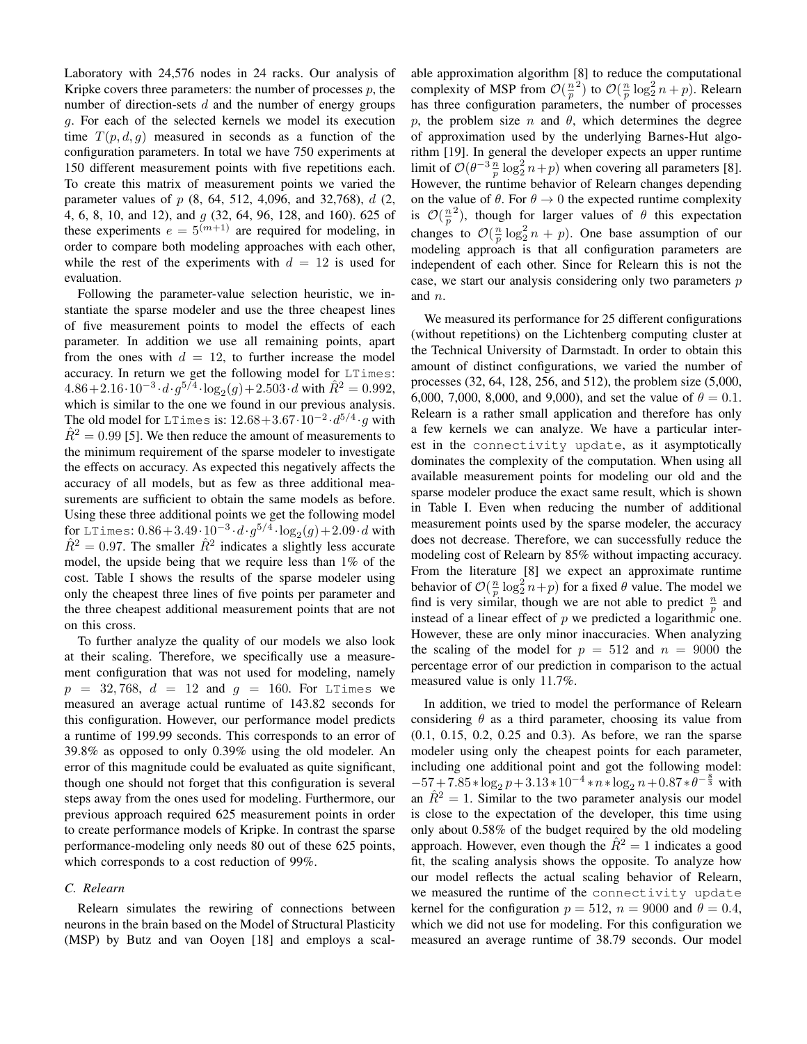Laboratory with 24,576 nodes in 24 racks. Our analysis of Kripke covers three parameters: the number of processes  $p$ , the number of direction-sets  $d$  and the number of energy groups g. For each of the selected kernels we model its execution time  $T(p, d, g)$  measured in seconds as a function of the configuration parameters. In total we have 750 experiments at 150 different measurement points with five repetitions each. To create this matrix of measurement points we varied the parameter values of  $p$  (8, 64, 512, 4,096, and 32,768),  $d$  (2, 4, 6, 8, 10, and 12), and g (32, 64, 96, 128, and 160). 625 of these experiments  $e = 5^{(m+1)}$  are required for modeling, in order to compare both modeling approaches with each other, while the rest of the experiments with  $d = 12$  is used for evaluation.

Following the parameter-value selection heuristic, we instantiate the sparse modeler and use the three cheapest lines of five measurement points to model the effects of each parameter. In addition we use all remaining points, apart from the ones with  $d = 12$ , to further increase the model accuracy. In return we get the following model for LTimes:  $4.86 + 2.16 \cdot 10^{-3} \cdot d \cdot g^{5/4} \cdot \log_2(g) + 2.503 \cdot d$  with  $\hat{R}^2 = 0.992$ , which is similar to the one we found in our previous analysis. The old model for LTimes is:  $12.68 + 3.67 \cdot 10^{-2} \cdot d^{5/4} \cdot g$  with  $\hat{R}^2 = 0.99$  [\[5\]](#page-11-3). We then reduce the amount of measurements to the minimum requirement of the sparse modeler to investigate the effects on accuracy. As expected this negatively affects the accuracy of all models, but as few as three additional measurements are sufficient to obtain the same models as before. Using these three additional points we get the following model for LTimes:  $0.86 + 3.49 \cdot 10^{-3} \cdot d \cdot g^{5/4} \cdot \log_2(g) + 2.09 \cdot d$  with  $\hat{R}^2 = 0.97$ . The smaller  $\hat{R}^2$  indicates a slightly less accurate model, the upside being that we require less than 1% of the cost. Table [I](#page-8-1) shows the results of the sparse modeler using only the cheapest three lines of five points per parameter and the three cheapest additional measurement points that are not on this cross.

To further analyze the quality of our models we also look at their scaling. Therefore, we specifically use a measurement configuration that was not used for modeling, namely  $p = 32,768, d = 12$  and  $g = 160$ . For LTimes we measured an average actual runtime of 143.82 seconds for this configuration. However, our performance model predicts a runtime of 199.99 seconds. This corresponds to an error of 39.8% as opposed to only 0.39% using the old modeler. An error of this magnitude could be evaluated as quite significant, though one should not forget that this configuration is several steps away from the ones used for modeling. Furthermore, our previous approach required 625 measurement points in order to create performance models of Kripke. In contrast the sparse performance-modeling only needs 80 out of these 625 points, which corresponds to a cost reduction of 99%.

## *C. Relearn*

Relearn simulates the rewiring of connections between neurons in the brain based on the Model of Structural Plasticity (MSP) by Butz and van Ooyen [\[18\]](#page-11-16) and employs a scalable approximation algorithm [\[8\]](#page-11-6) to reduce the computational complexity of MSP from  $\mathcal{O}(\frac{n}{p}^2)$  to  $\mathcal{O}(\frac{n}{p} \log_2^2 n + p)$ . Relearn has three configuration parameters, the number of processes p, the problem size n and  $\theta$ , which determines the degree of approximation used by the underlying Barnes-Hut algorithm [\[19\]](#page-11-17). In general the developer expects an upper runtime limit of  $\mathcal{O}(\theta^{-3} \frac{n}{p} \log_2^2 n + p)$  when covering all parameters [\[8\]](#page-11-6). However, the runtime behavior of Relearn changes depending on the value of  $\theta$ . For  $\theta \rightarrow 0$  the expected runtime complexity is  $\mathcal{O}(\frac{n}{p}^2)$ , though for larger values of  $\theta$  this expectation changes to  $\mathcal{O}(\frac{n}{p} \log_2^2 n + p)$ . One base assumption of our modeling approach is that all configuration parameters are independent of each other. Since for Relearn this is not the case, we start our analysis considering only two parameters  $p$ and n.

We measured its performance for 25 different configurations (without repetitions) on the Lichtenberg computing cluster at the Technical University of Darmstadt. In order to obtain this amount of distinct configurations, we varied the number of processes (32, 64, 128, 256, and 512), the problem size (5,000, 6,000, 7,000, 8,000, and 9,000), and set the value of  $\theta = 0.1$ . Relearn is a rather small application and therefore has only a few kernels we can analyze. We have a particular interest in the connectivity update, as it asymptotically dominates the complexity of the computation. When using all available measurement points for modeling our old and the sparse modeler produce the exact same result, which is shown in Table [I.](#page-8-1) Even when reducing the number of additional measurement points used by the sparse modeler, the accuracy does not decrease. Therefore, we can successfully reduce the modeling cost of Relearn by 85% without impacting accuracy. From the literature [\[8\]](#page-11-6) we expect an approximate runtime behavior of  $\mathcal{O}(\frac{n}{p} \log_2^2 n + p)$  for a fixed  $\theta$  value. The model we find is very similar, though we are not able to predict  $\frac{n}{p}$  and instead of a linear effect of  $p$  we predicted a logarithmic one. However, these are only minor inaccuracies. When analyzing the scaling of the model for  $p = 512$  and  $n = 9000$  the percentage error of our prediction in comparison to the actual measured value is only 11.7%.

In addition, we tried to model the performance of Relearn considering  $\theta$  as a third parameter, choosing its value from (0.1, 0.15, 0.2, 0.25 and 0.3). As before, we ran the sparse modeler using only the cheapest points for each parameter, including one additional point and got the following model:  $-57 + 7.85 * \log_2 p + 3.13 * 10^{-4} * n * \log_2 n + 0.87 * \theta^{-\frac{8}{3}}$  with an  $\hat{R}^2 = 1$ . Similar to the two parameter analysis our model is close to the expectation of the developer, this time using only about 0.58% of the budget required by the old modeling approach. However, even though the  $\hat{R}^2 = 1$  indicates a good fit, the scaling analysis shows the opposite. To analyze how our model reflects the actual scaling behavior of Relearn, we measured the runtime of the connectivity update kernel for the configuration  $p = 512$ ,  $n = 9000$  and  $\theta = 0.4$ , which we did not use for modeling. For this configuration we measured an average runtime of 38.79 seconds. Our model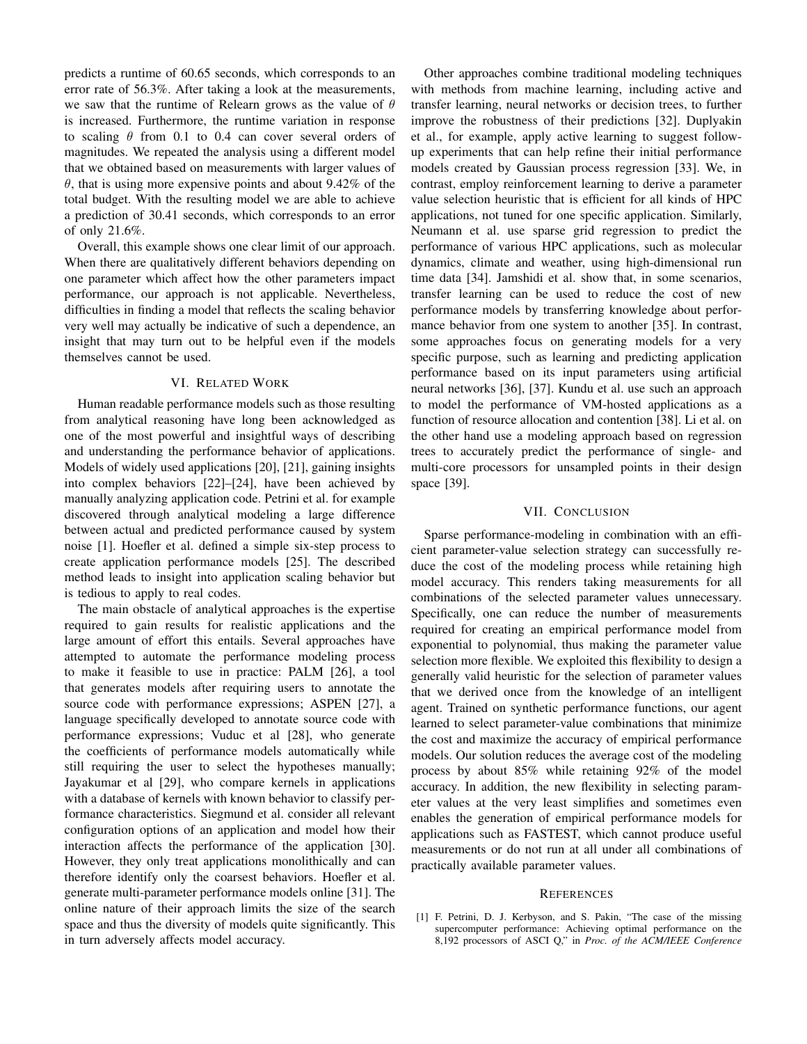predicts a runtime of 60.65 seconds, which corresponds to an error rate of 56.3%. After taking a look at the measurements, we saw that the runtime of Relearn grows as the value of  $\theta$ is increased. Furthermore, the runtime variation in response to scaling  $\theta$  from 0.1 to 0.4 can cover several orders of magnitudes. We repeated the analysis using a different model that we obtained based on measurements with larger values of  $\theta$ , that is using more expensive points and about 9.42% of the total budget. With the resulting model we are able to achieve a prediction of 30.41 seconds, which corresponds to an error of only 21.6%.

Overall, this example shows one clear limit of our approach. When there are qualitatively different behaviors depending on one parameter which affect how the other parameters impact performance, our approach is not applicable. Nevertheless, difficulties in finding a model that reflects the scaling behavior very well may actually be indicative of such a dependence, an insight that may turn out to be helpful even if the models themselves cannot be used.

## VI. RELATED WORK

<span id="page-10-1"></span>Human readable performance models such as those resulting from analytical reasoning have long been acknowledged as one of the most powerful and insightful ways of describing and understanding the performance behavior of applications. Models of widely used applications [\[20\]](#page-11-18), [\[21\]](#page-11-19), gaining insights into complex behaviors [\[22\]](#page-11-20)–[\[24\]](#page-11-21), have been achieved by manually analyzing application code. Petrini et al. for example discovered through analytical modeling a large difference between actual and predicted performance caused by system noise [\[1\]](#page-10-0). Hoefler et al. defined a simple six-step process to create application performance models [\[25\]](#page-11-22). The described method leads to insight into application scaling behavior but is tedious to apply to real codes.

The main obstacle of analytical approaches is the expertise required to gain results for realistic applications and the large amount of effort this entails. Several approaches have attempted to automate the performance modeling process to make it feasible to use in practice: PALM [\[26\]](#page-11-23), a tool that generates models after requiring users to annotate the source code with performance expressions; ASPEN [\[27\]](#page-11-24), a language specifically developed to annotate source code with performance expressions; Vuduc et al [\[28\]](#page-11-25), who generate the coefficients of performance models automatically while still requiring the user to select the hypotheses manually; Jayakumar et al [\[29\]](#page-11-26), who compare kernels in applications with a database of kernels with known behavior to classify performance characteristics. Siegmund et al. consider all relevant configuration options of an application and model how their interaction affects the performance of the application [\[30\]](#page-11-27). However, they only treat applications monolithically and can therefore identify only the coarsest behaviors. Hoefler et al. generate multi-parameter performance models online [\[31\]](#page-11-28). The online nature of their approach limits the size of the search space and thus the diversity of models quite significantly. This in turn adversely affects model accuracy.

Other approaches combine traditional modeling techniques with methods from machine learning, including active and transfer learning, neural networks or decision trees, to further improve the robustness of their predictions [\[32\]](#page-11-29). Duplyakin et al., for example, apply active learning to suggest followup experiments that can help refine their initial performance models created by Gaussian process regression [\[33\]](#page-11-30). We, in contrast, employ reinforcement learning to derive a parameter value selection heuristic that is efficient for all kinds of HPC applications, not tuned for one specific application. Similarly, Neumann et al. use sparse grid regression to predict the performance of various HPC applications, such as molecular dynamics, climate and weather, using high-dimensional run time data [\[34\]](#page-11-31). Jamshidi et al. show that, in some scenarios, transfer learning can be used to reduce the cost of new performance models by transferring knowledge about performance behavior from one system to another [\[35\]](#page-11-32). In contrast, some approaches focus on generating models for a very specific purpose, such as learning and predicting application performance based on its input parameters using artificial neural networks [\[36\]](#page-11-33), [\[37\]](#page-11-34). Kundu et al. use such an approach to model the performance of VM-hosted applications as a function of resource allocation and contention [\[38\]](#page-11-35). Li et al. on the other hand use a modeling approach based on regression trees to accurately predict the performance of single- and multi-core processors for unsampled points in their design space [\[39\]](#page-11-36).

#### VII. CONCLUSION

<span id="page-10-2"></span>Sparse performance-modeling in combination with an efficient parameter-value selection strategy can successfully reduce the cost of the modeling process while retaining high model accuracy. This renders taking measurements for all combinations of the selected parameter values unnecessary. Specifically, one can reduce the number of measurements required for creating an empirical performance model from exponential to polynomial, thus making the parameter value selection more flexible. We exploited this flexibility to design a generally valid heuristic for the selection of parameter values that we derived once from the knowledge of an intelligent agent. Trained on synthetic performance functions, our agent learned to select parameter-value combinations that minimize the cost and maximize the accuracy of empirical performance models. Our solution reduces the average cost of the modeling process by about 85% while retaining 92% of the model accuracy. In addition, the new flexibility in selecting parameter values at the very least simplifies and sometimes even enables the generation of empirical performance models for applications such as FASTEST, which cannot produce useful measurements or do not run at all under all combinations of practically available parameter values.

#### **REFERENCES**

<span id="page-10-0"></span>[1] F. Petrini, D. J. Kerbyson, and S. Pakin, "The case of the missing supercomputer performance: Achieving optimal performance on the 8,192 processors of ASCI Q," in *Proc. of the ACM/IEEE Conference*